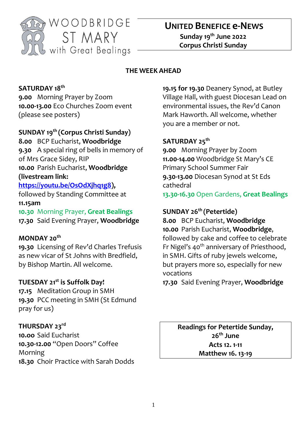

# **UNITED BENEFICE e-NEWS**

**Sunday 19 th June 2022 Corpus Christi Sunday**

#### **THE WEEK AHEAD**

## **SATURDAY 18 th**

**9.00** Morning Prayer by Zoom **10.00-13.00** Eco Churches Zoom event (please see posters)

## **SUNDAY 19 th (Corpus Christi Sunday)**

**8.00** BCP Eucharist, **Woodbridge 9.30** A special ring of bells in memory of of Mrs Grace Sidey, RIP **10.00** Parish Eucharist, **Woodbridge (livestream link: [https://youtu.be/OsOdXjhq1g8\)](https://youtu.be/OsOdXjhq1g8),** 

followed by Standing Committee at

#### **11.15am**

**10.30** Morning Prayer, **Great Bealings 17.30** Said Evening Prayer, **Woodbridge**

#### **MONDAY 20th**

**19.30** Licensing of Rev'd Charles Trefusis as new vicar of St Johns with Bredfield, by Bishop Martin. All welcome.

#### **TUESDAY 21st is Suffolk Day!**

**17.15** Meditation Group in SMH **19.30** PCC meeting in SMH (St Edmund pray for us)

#### **THURSDAY 23rd**

**10.oo** Said Eucharist **10.30-12.00** "Open Doors" Coffee Morning **18.30** Choir Practice with Sarah Dodds

**19.15 for 19.30** Deanery Synod, at Butley Village Hall, with guest Diocesan Lead on environmental issues, the Rev'd Canon Mark Haworth. All welcome, whether you are a member or not.

### **SATURDAY 25th**

**9.00** Morning Prayer by Zoom **11.00-14.00** Woodbridge St Mary's CE Primary School Summer Fair **9.30-13.00** Diocesan Synod at St Eds cathedral

**13.30-16.30** Open Gardens, **Great Bealings**

## **SUNDAY 26th (Petertide)**

**8.00** BCP Eucharist, **Woodbridge 10.00** Parish Eucharist, **Woodbridge**, followed by cake and coffee to celebrate Fr Nigel's 40<sup>th</sup> anniversary of Priesthood, in SMH. Gifts of ruby jewels welcome, but prayers more so, especially for new vocations

**17.30** Said Evening Prayer, **Woodbridge**

**Readings for Petertide Sunday, 26th June Acts 12. 1-11 Matthew 16. 13-19**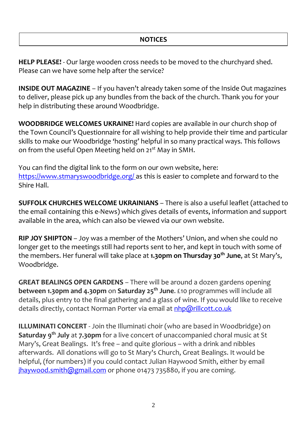**HELP PLEASE!** - Our large wooden cross needs to be moved to the churchyard shed. Please can we have some help after the service?

**INSIDE OUT MAGAZINE** – If you haven't already taken some of the Inside Out magazines to deliver, please pick up any bundles from the back of the church. Thank you for your help in distributing these around Woodbridge.

**WOODBRIDGE WELCOMES UKRAINE!** Hard copies are available in our church shop of the Town Council's Questionnaire for all wishing to help provide their time and particular skills to make our Woodbridge 'hosting' helpful in so many practical ways. This follows on from the useful Open Meeting held on 21<sup>st</sup> May in SMH.

You can find the digital link to the form on our own website, here: <https://www.stmaryswoodbridge.org/> as this is easier to complete and forward to the Shire Hall.

**SUFFOLK CHURCHES WELCOME UKRAINIANS** – There is also a useful leaflet (attached to the email containing this e-News) which gives details of events, information and support available in the area, which can also be viewed via our own website.

**RIP JOY SHIPTON** – Joy was a member of the Mothers' Union, and when she could no longer get to the meetings still had reports sent to her, and kept in touch with some of the members. Her funeral will take place at **1.30pm on Thursday 30th June**, at St Mary's, Woodbridge.

**GREAT BEALINGS OPEN GARDENS** – There will be around a dozen gardens opening **between 1.30pm and 4.30pm** on **Saturday 25th June**. £10 programmes will include all details, plus entry to the final gathering and a glass of wine. If you would like to receive details directly, contact Norman Porter via email at [nhp@rillcott.co.uk](mailto:nhp@rillcott.co.uk)

**ILLUMINATI CONCERT** - Join the Illuminati choir (who are based in Woodbridge) on **Saturday 9th July** at **7.30pm** for a live concert of unaccompanied choral music at St Mary's, Great Bealings. It's free – and quite glorious – with a drink and nibbles afterwards. All donations will go to St Mary's Church, Great Bealings. It would be helpful, (for numbers) if you could contact Julian Haywood Smith, either by email [jhaywood.smith@gmail.com](mailto:jhaywood.smith@gmail.com) or phone 01473 735880, if you are coming.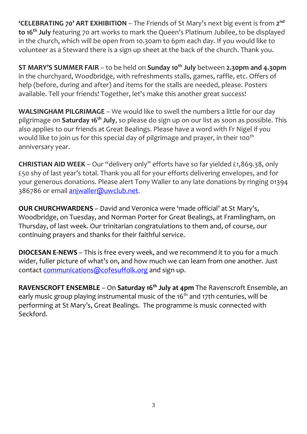**'CELEBRATING 70' ART EXHIBITION** – The Friends of St Mary's next big event is from **2 nd to 16th July** featuring 70 art works to mark the Queen's Platinum Jubilee, to be displayed in the church, which will be open from 10.30am to 6pm each day. If you would like to volunteer as a Steward there is a sign up sheet at the back of the church. Thank you.

**ST MARY'S SUMMER FAIR** – to be held on **Sunday 10th July** between **2.30pm and 4.30pm** in the churchyard, Woodbridge, with refreshments stalls, games, raffle, etc. Offers of help (before, during and after) and items for the stalls are needed, please. Posters available. Tell your friends! Together, let's make this another great success!

**WALSINGHAM PILGRIMAGE** – We would like to swell the numbers a little for our day pilgrimage on **Saturday 16th July**, so please do sign up on our list as soon as possible. This also applies to our friends at Great Bealings. Please have a word with Fr Nigel if you would like to join us for this special day of pilgrimage and prayer, in their 100<sup>th</sup> anniversary year.

**CHRISTIAN AID WEEK** – Our "delivery only" efforts have so far yielded £1,869.38, only £50 shy of last year's total. Thank you all for your efforts delivering envelopes, and for your generous donations. Please alert Tony Waller to any late donations by ringing 01394 386786 or email [anjwaller@uwclub.net.](mailto:anjwaller@uwclub.net)

**OUR CHURCHWARDENS** – David and Veronica were 'made official' at St Mary's, Woodbridge, on Tuesday, and Norman Porter for Great Bealings, at Framlingham, on Thursday, of last week. Our trinitarian congratulations to them and, of course, our continuing prayers and thanks for their faithful service.

**DIOCESAN E-NEWS** – This is free every week, and we recommend it to you for a much wider, fuller picture of what's on, and how much we can learn from one another. Just contact [communications@cofesuffolk.org](mailto:communications@cofesuffolk.org) and sign up.

**RAVENSCROFT ENSEMBLE** – On **Saturday 16th July at 4pm** The Ravenscroft Ensemble, an early music group playing instrumental music of the 16<sup>th</sup> and 17th centuries, will be performing at St Mary's, Great Bealings. The programme is music connected with Seckford.